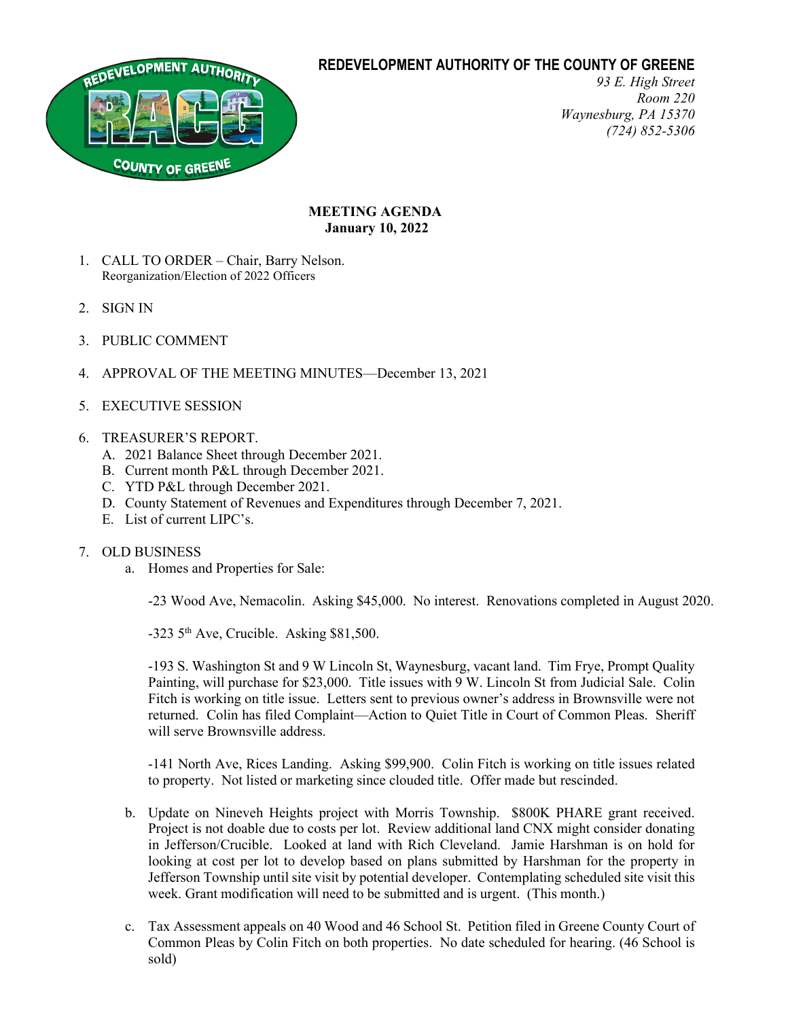# **REDEVELOPMENT AUTHORITY OF THE COUNTY OF GREENE**



*93 E. High Street Room 220 Waynesburg, PA 15370 (724) 852-5306*

## **MEETING AGENDA January 10, 2022**

- 1. CALL TO ORDER Chair, Barry Nelson. Reorganization/Election of 2022 Officers
- 2. SIGN IN
- 3. PUBLIC COMMENT
- 4. APPROVAL OF THE MEETING MINUTES—December 13, 2021
- 5. EXECUTIVE SESSION

### 6. TREASURER'S REPORT.

- A. 2021 Balance Sheet through December 2021.
- B. Current month P&L through December 2021.
- C. YTD P&L through December 2021.
- D. County Statement of Revenues and Expenditures through December 7, 2021.
- E. List of current LIPC's.

### 7. OLD BUSINESS

a. Homes and Properties for Sale:

-23 Wood Ave, Nemacolin. Asking \$45,000. No interest. Renovations completed in August 2020.

 $-323$  5<sup>th</sup> Ave, Crucible. Asking \$81,500.

-193 S. Washington St and 9 W Lincoln St, Waynesburg, vacant land. Tim Frye, Prompt Quality Painting, will purchase for \$23,000. Title issues with 9 W. Lincoln St from Judicial Sale. Colin Fitch is working on title issue. Letters sent to previous owner's address in Brownsville were not returned. Colin has filed Complaint—Action to Quiet Title in Court of Common Pleas. Sheriff will serve Brownsville address.

-141 North Ave, Rices Landing. Asking \$99,900. Colin Fitch is working on title issues related to property. Not listed or marketing since clouded title. Offer made but rescinded.

- b. Update on Nineveh Heights project with Morris Township. \$800K PHARE grant received. Project is not doable due to costs per lot. Review additional land CNX might consider donating in Jefferson/Crucible. Looked at land with Rich Cleveland. Jamie Harshman is on hold for looking at cost per lot to develop based on plans submitted by Harshman for the property in Jefferson Township until site visit by potential developer. Contemplating scheduled site visit this week. Grant modification will need to be submitted and is urgent. (This month.)
- c. Tax Assessment appeals on 40 Wood and 46 School St. Petition filed in Greene County Court of Common Pleas by Colin Fitch on both properties. No date scheduled for hearing. (46 School is sold)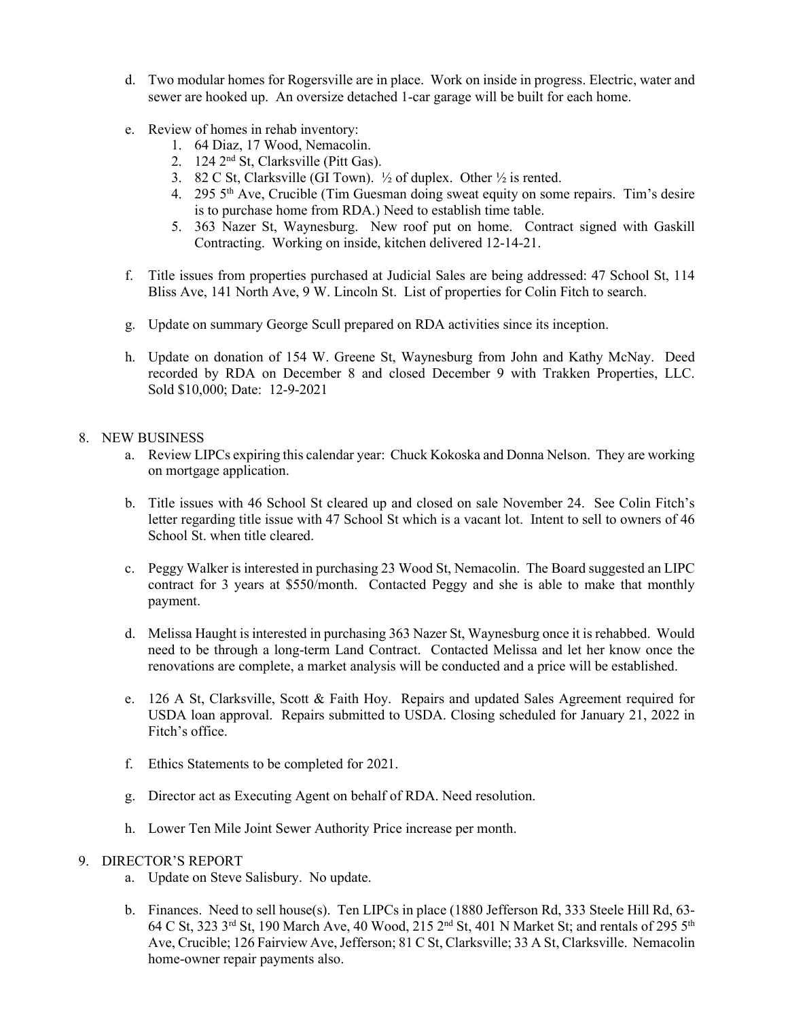- d. Two modular homes for Rogersville are in place. Work on inside in progress. Electric, water and sewer are hooked up. An oversize detached 1-car garage will be built for each home.
- e. Review of homes in rehab inventory:
	- 1. 64 Diaz, 17 Wood, Nemacolin.
	- 2. 124 2nd St, Clarksville (Pitt Gas).
	- 3. 82 C St, Clarksville (GI Town).  $\frac{1}{2}$  of duplex. Other  $\frac{1}{2}$  is rented.
	- 4. 295 5th Ave, Crucible (Tim Guesman doing sweat equity on some repairs. Tim's desire is to purchase home from RDA.) Need to establish time table.
	- 5. 363 Nazer St, Waynesburg. New roof put on home. Contract signed with Gaskill Contracting. Working on inside, kitchen delivered 12-14-21.
- f. Title issues from properties purchased at Judicial Sales are being addressed: 47 School St, 114 Bliss Ave, 141 North Ave, 9 W. Lincoln St. List of properties for Colin Fitch to search.
- g. Update on summary George Scull prepared on RDA activities since its inception.
- h. Update on donation of 154 W. Greene St, Waynesburg from John and Kathy McNay. Deed recorded by RDA on December 8 and closed December 9 with Trakken Properties, LLC. Sold \$10,000; Date: 12-9-2021

#### 8. NEW BUSINESS

- a. Review LIPCs expiring this calendar year: Chuck Kokoska and Donna Nelson. They are working on mortgage application.
- b. Title issues with 46 School St cleared up and closed on sale November 24. See Colin Fitch's letter regarding title issue with 47 School St which is a vacant lot. Intent to sell to owners of 46 School St. when title cleared.
- c. Peggy Walker is interested in purchasing 23 Wood St, Nemacolin. The Board suggested an LIPC contract for 3 years at \$550/month. Contacted Peggy and she is able to make that monthly payment.
- d. Melissa Haught is interested in purchasing 363 Nazer St, Waynesburg once it is rehabbed. Would need to be through a long-term Land Contract. Contacted Melissa and let her know once the renovations are complete, a market analysis will be conducted and a price will be established.
- e. 126 A St, Clarksville, Scott & Faith Hoy. Repairs and updated Sales Agreement required for USDA loan approval. Repairs submitted to USDA. Closing scheduled for January 21, 2022 in Fitch's office.
- f. Ethics Statements to be completed for 2021.
- g. Director act as Executing Agent on behalf of RDA. Need resolution.
- h. Lower Ten Mile Joint Sewer Authority Price increase per month.

#### 9. DIRECTOR'S REPORT

- a. Update on Steve Salisbury. No update.
- b. Finances. Need to sell house(s). Ten LIPCs in place (1880 Jefferson Rd, 333 Steele Hill Rd, 63- 64 C St, 323 3<sup>rd</sup> St, 190 March Ave, 40 Wood, 215 2<sup>nd</sup> St, 401 N Market St; and rentals of 295 5<sup>th</sup> Ave, Crucible; 126 Fairview Ave, Jefferson; 81 C St, Clarksville; 33 A St, Clarksville. Nemacolin home-owner repair payments also.